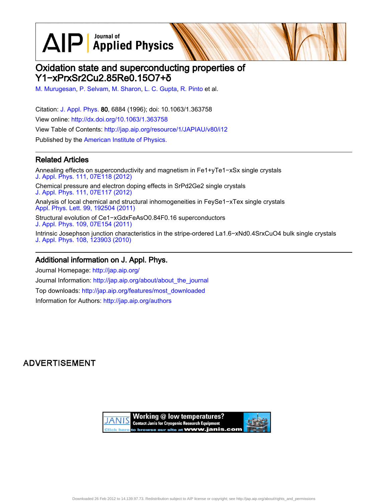$\text{AlP}$  Applied Physics

# Oxidation state and superconducting properties of Y1−xPrxSr2Cu2.85Re0.15O7+δ

[M. Murugesan,](http://jap.aip.org/search?sortby=newestdate&q=&searchzone=2&searchtype=searchin&faceted=faceted&key=AIP_ALL&possible1=M. Murugesan&possible1zone=author&alias=&displayid=AIP&ver=pdfcov) [P. Selvam,](http://jap.aip.org/search?sortby=newestdate&q=&searchzone=2&searchtype=searchin&faceted=faceted&key=AIP_ALL&possible1=P. Selvam&possible1zone=author&alias=&displayid=AIP&ver=pdfcov) [M. Sharon,](http://jap.aip.org/search?sortby=newestdate&q=&searchzone=2&searchtype=searchin&faceted=faceted&key=AIP_ALL&possible1=M. Sharon&possible1zone=author&alias=&displayid=AIP&ver=pdfcov) [L. C. Gupta](http://jap.aip.org/search?sortby=newestdate&q=&searchzone=2&searchtype=searchin&faceted=faceted&key=AIP_ALL&possible1=L. C. Gupta&possible1zone=author&alias=&displayid=AIP&ver=pdfcov), [R. Pinto](http://jap.aip.org/search?sortby=newestdate&q=&searchzone=2&searchtype=searchin&faceted=faceted&key=AIP_ALL&possible1=R. Pinto&possible1zone=author&alias=&displayid=AIP&ver=pdfcov) et al.

Citation: [J. Appl. Phys.](http://jap.aip.org/?ver=pdfcov) 80, 6884 (1996); doi: 10.1063/1.363758 View online: [http://dx.doi.org/10.1063/1.363758](http://link.aip.org/link/doi/10.1063/1.363758?ver=pdfcov) View Table of Contents: [http://jap.aip.org/resource/1/JAPIAU/v80/i12](http://jap.aip.org/resource/1/JAPIAU/v80/i12?ver=pdfcov) Published by the [American Institute of Physics.](http://www.aip.org/?ver=pdfcov)

## Related Articles

Annealing effects on superconductivity and magnetism in Fe1+yTe1−xSx single crystals [J. Appl. Phys. 111, 07E118 \(2012\)](http://link.aip.org/link/doi/10.1063/1.3672846?ver=pdfcov) Chemical pressure and electron doping effects in SrPd2Ge2 single crystals [J. Appl. Phys. 111, 07E117 \(2012\)](http://link.aip.org/link/doi/10.1063/1.3672089?ver=pdfcov) Analysis of local chemical and structural inhomogeneities in FeySe1−xTex single crystals [Appl. Phys. Lett. 99, 192504 \(2011\)](http://link.aip.org/link/doi/10.1063/1.3659302?ver=pdfcov) Structural evolution of Ce1−xGdxFeAsO0.84F0.16 superconductors [J. Appl. Phys. 109, 07E154 \(2011\)](http://link.aip.org/link/doi/10.1063/1.3565408?ver=pdfcov) Intrinsic Josephson junction characteristics in the stripe-ordered La1.6−xNd0.4SrxCuO4 bulk single crystals [J. Appl. Phys. 108, 123903 \(2010\)](http://link.aip.org/link/doi/10.1063/1.3524214?ver=pdfcov)

### Additional information on J. Appl. Phys.

Journal Homepage: [http://jap.aip.org/](http://jap.aip.org/?ver=pdfcov) Journal Information: [http://jap.aip.org/about/about\\_the\\_journal](http://jap.aip.org/about/about_the_journal?ver=pdfcov) Top downloads: [http://jap.aip.org/features/most\\_downloaded](http://jap.aip.org/features/most_downloaded?ver=pdfcov) Information for Authors: [http://jap.aip.org/authors](http://jap.aip.org/authors?ver=pdfcov)

## **ADVERTISEMENT**

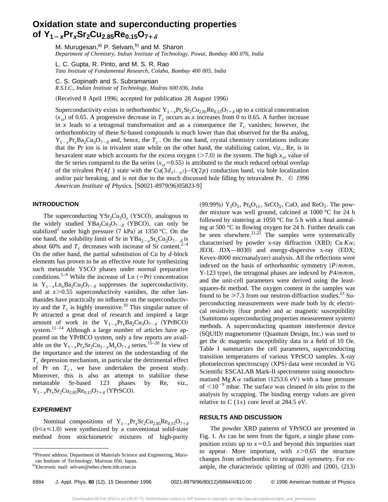## **Oxidation state and superconducting properties of Y<sub>1-x</sub>Pr<sub>x</sub>Sr<sub>2</sub>Cu<sub>2.85</sub>Re<sub>0.15</sub>O<sub>7+** $\delta$ **</sub>**

M. Murugesan,<sup>a)</sup> P. Selvam,<sup>b)</sup> and M. Sharon *Department of Chemistry, Indian Institute of Technology, Powai, Bombay 400 076, India*

L. C. Gupta, R. Pinto, and M. S. R. Rao *Tata Institute of Fundamental Research, Colaba, Bombay 400 005, India*

C. S. Gopinath and S. Subramanian

*R.S.I.C., Indian Institute of Technology, Madras 600 036, India*

(Received 8 April 1996; accepted for publication 28 August 1996)

Superconductivity exists in orthorhombic  $Y_{1-x}Pr_{x}Sr_{2}Cu_{2,85}Re_{0,15}O_{7+\delta}$  up to a critical concentration  $(x<sub>cr</sub>)$  of 0.65. A progressive decrease in  $T_c$  occurs as x increases from 0 to 0.65. A further increase in *x* leads to a tetragonal transformation and as a consequence the  $T_c$  vanishes; however, the orthorhombicity of these Sr-based compounds is much lower than that observed for the Ba analog,  $Y_{1-x}Pr_xBa_2Cu_3O_{7-x}$  and, hence, the  $T_c$ . On the one hand, crystal chemistry correlations indicate that the Pr ion is in trivalent state while on the other hand, the stabilizing cation, viz., Re, is in hexavalent state which accounts for the excess oxygen  $(>= 7.0)$  in the system. The high  $x_{cr}$  value of the Sr series compared to the Ba series  $(x_{cr}=0.55)$  is attributed to the much reduced orbital overlap of the trivalent Pr(4*f*) state with the Cu(3 $d_{x^2-y^2}$ )–O(2*p*) conduction band, via hole localization and/or pair breaking, and is not due to the much discussed hole filling by tetravalent Pr. © *1996 American Institute of Physics.* [S0021-8979(96)05823-9]

### **INTRODUCTION**

The superconducting  $\text{YSr}_2\text{Cu}_3\text{O}_z$  (YSCO), analogous to the widely studied  $YBa<sub>2</sub>Cu<sub>3</sub>O<sub>7-\delta</sub>$  (YBCO), can only be stabilized<sup>1</sup> under high pressure  $(7 \text{ kPa})$  at 1350 °C. On the one hand, the solubility limit of Sr in  $YBa_{2-x}Sr_xCu_3O_{7-\delta}$  is about 60% and  $T_c$  decreases with increase of Sr content.<sup>2</sup> On the other hand, the partial substitution of Cu by *d*-block elements has proven to be an effective route for synthesizing such metastable YSCO phases under normal preparative conditions.<sup>5–9</sup> While the increase of Ln  $(=Pr)$  concentration in  $Y_{1-x}Ln_xBa_2Cu_3O_{7-\delta}$  suppresses the superconductivity, and at  $x > 0.55$  superconductivity vanishes, the other lanthanides have practically no influence on the superconductivity and the  $T_c$  is highly insensitive.<sup>10</sup> This singular nature of Pr attracted a great deal of research and inspired a large amount of work in the  $Y_{1-x}Pr_xBa_2Cu_3O_{7-\delta}$  (YPrBCO) system.<sup>11–14</sup> Although a large number of articles have appeared on the YPrBCO system, only a few reports are available on the  $Y_{1-x}Pr_{x}Sr_2Cu_{3-y}M_{y}O_{7+\delta}$  series.<sup>15–20</sup> In view of the importance and the interest on the understanding of the  $T_c$  depression mechanism, in particular the detrimental effect of Pr on  $T_c$ , we have undertaken the present study. Moreover, this is also an attempt to stabilize these metastable Sr-based 123 phases by Re, viz.,  $Y_{1-x}Pr_{x}Sr_{2}Cu_{2.85}Re_{0.15}O_{7+\delta}$  (YPrSCO).

### **EXPERIMENT**

Nominal compositions of  $Y_{1-x}Pr_{x}Sr_2Cu_{2.85}Re_{0.15}O_{7+\delta}$  $(0 \le x \le 1.0)$  were synthesized by a conventional solid-state method from stoichiometric mixtures of high-purity

 $(99.99\%)$   $Y_2O_3$ ,  $Pr_6O_{11}$ ,  $SrCO_3$ , CuO, and ReO<sub>3</sub>. The powder mixture was well ground, calcined at 1000 °C for 24 h followed by sintering at 1050  $\degree$ C for 5 h with a final annealing at 500 °C in flowing oxygen for 24 h. Further details can be seen elsewhere.<sup>21,22</sup> The samples were systematically characterised by powder x-ray diffraction (XRD; Cu  $K\alpha$ ; JEOL JDX $-8030$  and energy-dispersive x-ray (EDX; Kevex-8000 microanalyzer) analysis. All the reflections were indexed on the basis of orthorhombic symmetry  $(P/mmm)$ , Y-123 type), the tetragonal phases are indexed by  $P4/mmm$ , and the unit-cell parameters were derived using the leastsquares-fit method. The oxygen content in the samples was found to be  $\geq 7.3$  from our neutron-diffraction studies.<sup>23</sup> Superconducting measurements were made both by dc electrical resistivity (four probe) and ac magnetic susceptibility (Sumitomo superconducting properties measurement system) methods. A superconducting quantum interference device (SQUID) magnetometer (Quantum Design, Inc.) was used to get the dc magnetic susceptibility data in a field of 10 Oe. Table I summarizes the cell parameters, superconducting transition temperatures of various YPrSCO samples. X-ray photoelectron spectroscopy (XPS) data were recorded in VG Scientific ESCALAB Mark-II spectrometer using monochromatized Mg  $K\alpha$  radiation (1253.6 eV) with a base pressure of  $\leq 10^{-9}$  mbar. The surface was cleaned *in situ* prior to the analysis by scrapping. The binding energy values are given relative to C (1*s*) core level at 284.5 eV.

### **RESULTS AND DISCUSSION**

The powder XRD patterns of YPrSCO are presented in Fig. 1. As can be seen from the figure, a single phase composition exists up to  $x=0.5$  and beyond this impurities start to appear. More important, with  $x > 0.65$  the structure changes from orthorhombic to tetragonal symmetry. For example, the characteristic splitting of  $(020)$  and  $(200)$ ,  $(213)$ 

a)Present address: Department of Materials Science and Engineering, Muroran Institute of Technology, Muroran 050, Japan.

b)Electronic mail: selvam@ether.chem.iitb.ernet.in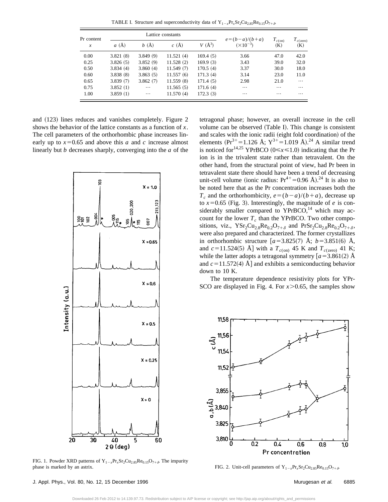TABLE I. Structure and superconductivity data of  $Y_{1-x}Pr_xSr_2Cu_{2.85}Re_{0.15}O_{7+\delta}$ .

| Pr content<br>$\mathcal{X}$ | Lattice constants |          |           |            | $e = (b - a)/(b + a)$ | $T_{c( \text{on})}$ | $T_{c(zero)}$ |
|-----------------------------|-------------------|----------|-----------|------------|-----------------------|---------------------|---------------|
|                             | a(A)              | b(A)     | c(A)      | $V(\AA^3)$ | $(\times 10^{-3})$    | (K)                 | (K)           |
| 0.00                        | 3.821(8)          | 3.849(9) | 11.521(4) | 169.4(5)   | 3.66                  | 47.0                | 42.0          |
| 0.25                        | 3.826(5)          | 3.852(9) | 11.528(2) | 169.9(3)   | 3.43                  | 39.0                | 32.0          |
| 0.50                        | 3.834(4)          | 3.860(4) | 11.549(7) | 170.5(4)   | 3.37                  | 30.0                | 18.0          |
| 0.60                        | 3.838(8)          | 3.863(5) | 11.557(6) | 171.3(4)   | 3.14                  | 23.0                | 11.0          |
| 0.65                        | 3.839(7)          | 3.862(7) | 11.559(8) | 171.4(5)   | 2.98                  | 21.0                | $\cdots$      |
| 0.75                        | 3.852(1)          | $\cdots$ | 11.565(5) | 171.6(4)   | $\cdots$              | $\cdots$            | $\cdots$      |
| 1.00                        | 3.859(1)          | $\cdots$ | 11.570(4) | 172.3(3)   | $\cdots$              | $\cdots$            | $\cdots$      |

and  $(123)$  lines reduces and vanishes completely. Figure 2 shows the behavior of the lattice constants as a function of *x*. The cell parameters of the orthorhombic phase increases linearly up to  $x=0.65$  and above this *a* and *c* increase almost linearly but *b* decreases sharply, converging into the *a* of the



FIG. 1. Powder XRD patterns of  $Y_{1-x}P_{1x}Sr_2Cu_{2.85}Re_{0.15}O_{7+\delta}$ . The impurity phase is marked by an astrix.

tetragonal phase; however, an overall increase in the cell volume can be observed (Table I). This change is consistent and scales with the ionic radii (eight fold coordination) of the elements  $({Pr}^{3+}=1.126 \text{ Å}; Y^{3+}=1.019 \text{ Å}).^{24}$  A similar trend is noticed for<sup>14,25</sup> YPrBCO ( $0 \le x \le 1.0$ ) indicating that the Pr ion is in the trivalent state rather than tetravalent. On the other hand, from the structural point of view, had Pr been in tetravalent state there should have been a trend of decreasing unit-cell volume (ionic radius:  $Pr^{4+}=0.96$  Å).<sup>24</sup> It is also to be noted here that as the Pr concentration increases both the  $T_c$  and the orthorhombicity,  $e = (b-a)/(b+a)$ , decrease up to  $x=0.65$  (Fig. 3). Interestingly, the magnitude of *e* is considerably smaller compared to  $YPrBCO$ ,<sup>14</sup> which may account for the lower  $T_c$  than the YPrBCO. Two other compositions, viz.,  $\text{YSr}_2\text{Cu}_{2.8}\text{Re}_{0.2}\text{O}_{7+\delta}$  and  $\text{PrSr}_2\text{Cu}_{2.8}\text{Re}_{0.2}\text{O}_{7+\delta}$ , were also prepared and characterized. The former crystallizes in orthorhombic structure  $[a=3.825(7)$  Å;  $b=3.851(6)$  Å, and  $c=11.524(5)$  Å] with a  $T_{c(\text{on})}$  45 K and  $T_{c(\text{zero})}$  41 K; while the latter adopts a tetragonal symmetry  $[a=3.861(2)$  Å and  $c=11.572(4)$  Å] and exhibits a semiconducting behavior down to 10 K.

The temperature dependence resistivity plots for YPr-SCO are displayed in Fig. 4. For  $x > 0.65$ , the samples show



FIG. 2. Unit-cell parameters of  $Y_{1-x}Pr_xSr_2Cu_{2.85}Re_{0.15}O_{7+\delta}$ .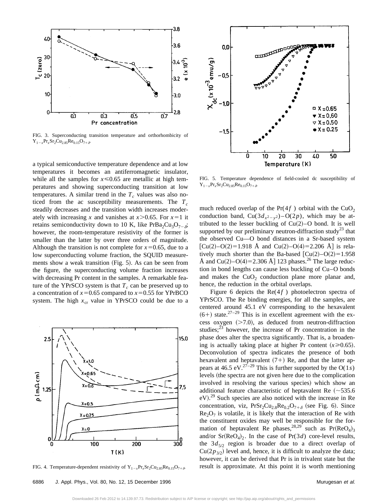

FIG. 3. Superconducting transition temperature and orthorhombicity of  $Y_{1-x}Pr_{x}Sr_{2}Cu_{2.85}Re_{0.15}O_{7+\delta}$ 

a typical semiconductive temperature dependence and at low temperatures it becomes an antiferromagnetic insulator, while all the samples for  $x \le 0.65$  are metallic at high temperatures and showing superconducting transition at low temperatures. A similar trend in the  $T_c$  values was also noticed from the ac susceptibility measurements. The  $T_c$ steadily decreases and the transition width increases moderately with increasing x and vanishes at  $x > 0.65$ . For  $x = 1$  it retains semiconductivity down to 10 K, like PrBa<sub>2</sub>Cu<sub>3</sub>O<sub>7- $\delta$ </sub>; however, the room-temperature resistivity of the former is smaller than the latter by over three orders of magnitude. Although the transition is not complete for  $x=0.65$ , due to a low superconducting volume fraction, the SQUID measurements show a weak transition  $(Fig. 5)$ . As can be seen from the figure, the superconducting volume fraction increases with decreasing Pr content in the samples. A remarkable feature of the YPrSCO system is that  $T_c$  can be preserved up to a concentration of  $x=0.65$  compared to  $x=0.55$  for YPrBCO system. The high  $x_{cr}$  value in YPrSCO could be due to a



FIG. 4. Temperature-dependent resistivity of  $Y_{1-x}Pr_{x}Sr_2Cu_{2.85}Re_{0.15}O_{7+\delta}$ .



FIG. 5. Temperature dependence of field-cooled dc susceptibility of  $Y_{1-x}Pr_{x}Sr_{2}Cu_{2.85}Re_{0.15}O_{7+\delta}$ 

much reduced overlap of the  $Pr(4f)$  orbital with the CuO<sub>2</sub> conduction band,  $Cu(3d_{x^2-y^2})-O(2p)$ , which may be attributed to the lesser buckling of  $Cu(2)$ –O bond. It is well supported by our preliminary neutron-diffraction study<sup>23</sup> that the observed Cu—O bond distances in a Sr-based system  $[Cu(2)-O(2)=1.918$  Å and  $Cu(2)-O(4)=2.206$  Å] is relatively much shorter than the Ba-based  $[Cu(2)-O(2)=1.958]$ Å and  $Cu(2)-O(4)=2.306$  Å] 123 phases.<sup>26</sup> The large reduction in bond lengths can cause less buckling of Cu–O bonds and makes the  $CuO<sub>2</sub>$  conduction plane more planar and, hence, the reduction in the orbital overlaps.

Figure 6 depicts the  $\text{Re}(4f)$  photoelectron spectra of YPrSCO. The Re binding energies, for all the samples, are centered around 45.1 eV corresponding to the hexavalent  $(6+)$  state.<sup>27–29</sup> This is in excellent agreement with the excess oxygen  $(>=7.0)$ , as deduced from neutron-diffraction studies; $^{23}$  however, the increase of Pr concentration in the phase does alter the spectra significantly. That is, a broadening is actually taking place at higher Pr content  $(x \ge 0.65)$ . Deconvolution of spectra indicates the presence of both hexavalent and heptavalent  $(7+)$  Re, and that the latter appears at 46.5 eV.<sup>27-29</sup> This is further supported by the  $O(1s)$ levels (the spectra are not given here due to the complication involved in resolving the various species) which show an additional feature characteristic of heptavalent Re  $(\sim 535.6$  $eV$ ).<sup>29</sup> Such species are also noticed with the increase in Re concentration, viz,  $PrSr_2Cu_{2.8}Re_{0.2}O_{7+\delta}$  (see Fig. 6). Since  $Re<sub>2</sub>O<sub>7</sub>$  is volatile, it is likely that the interaction of Re with the constituent oxides may well be responsible for the formation of heptavalent Re phases,<sup>28,29</sup> such as  $Pr(ReO_4)_3$ and/or  $Sr(ReO<sub>4</sub>)<sub>2</sub>$ . In the case of  $Pr(3d)$  core-level results, the  $3d_{5/2}$  region is broader due to a direct overlap of  $Cu(2p_{3/2})$  level and, hence, it is difficult to analyze the data; however, it can be derived that Pr is in trivalent state but the result is approximate. At this point it is worth mentioning

Downloaded 26 Feb 2012 to 14.139.97.73. Redistribution subject to AIP license or copyright; see http://jap.aip.org/about/rights\_and\_permissions